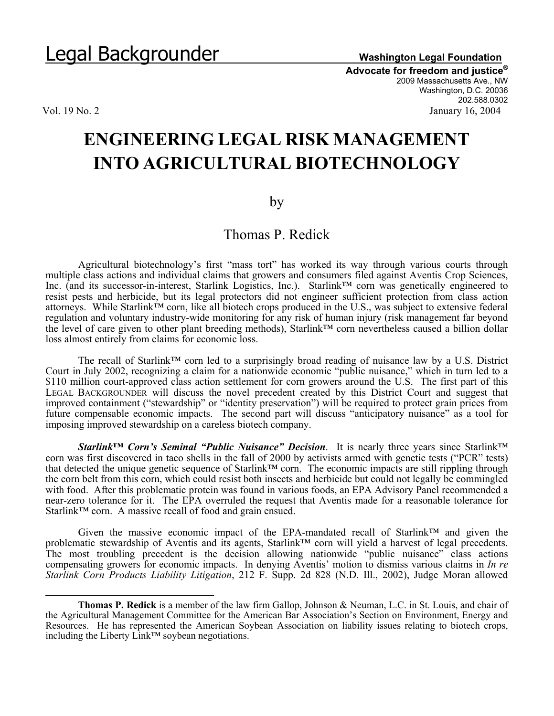**Advocate for freedom and justice®** 2009 Massachusetts Ave., NW Washington, D.C. 20036 202.588.0302 Vol. 19 No. 2 January 16, 2004

 $\overline{a}$ 

## **ENGINEERING LEGAL RISK MANAGEMENT INTO AGRICULTURAL BIOTECHNOLOGY**

## by

## Thomas P. Redick

Agricultural biotechnology's first "mass tort" has worked its way through various courts through multiple class actions and individual claims that growers and consumers filed against Aventis Crop Sciences, Inc. (and its successor-in-interest, Starlink Logistics, Inc.). Starlink™ corn was genetically engineered to resist pests and herbicide, but its legal protectors did not engineer sufficient protection from class action attorneys. While Starlink™ corn, like all biotech crops produced in the U.S., was subject to extensive federal regulation and voluntary industry-wide monitoring for any risk of human injury (risk management far beyond the level of care given to other plant breeding methods), Starlink™ corn nevertheless caused a billion dollar loss almost entirely from claims for economic loss.

The recall of Starlink™ corn led to a surprisingly broad reading of nuisance law by a U.S. District Court in July 2002, recognizing a claim for a nationwide economic "public nuisance," which in turn led to a \$110 million court-approved class action settlement for corn growers around the U.S. The first part of this LEGAL BACKGROUNDER will discuss the novel precedent created by this District Court and suggest that improved containment ("stewardship" or "identity preservation") will be required to protect grain prices from future compensable economic impacts. The second part will discuss "anticipatory nuisance" as a tool for imposing improved stewardship on a careless biotech company.

*Starlink™ Corn's Seminal "Public Nuisance" Decision*. It is nearly three years since Starlink™ corn was first discovered in taco shells in the fall of 2000 by activists armed with genetic tests ("PCR" tests) that detected the unique genetic sequence of Starlink™ corn. The economic impacts are still rippling through the corn belt from this corn, which could resist both insects and herbicide but could not legally be commingled with food. After this problematic protein was found in various foods, an EPA Advisory Panel recommended a near-zero tolerance for it. The EPA overruled the request that Aventis made for a reasonable tolerance for Starlink<sup>™</sup> corn. A massive recall of food and grain ensued.

 Given the massive economic impact of the EPA-mandated recall of Starlink™ and given the problematic stewardship of Aventis and its agents, Starlink™ corn will yield a harvest of legal precedents. problematic stewardship of Avenus and its agents, summing from the steam and the contract of the problematic must be actions of the decision allowing nationwide "public nuisance" class actions compensating growers for economic impacts. In denying Aventis' motion to dismiss various claims in *In re Starlink Corn Products Liability Litigation*, 212 F. Supp. 2d 828 (N.D. Ill., 2002), Judge Moran allowed

**Thomas P. Redick** is a member of the law firm Gallop, Johnson & Neuman, L.C. in St. Louis, and chair of the Agricultural Management Committee for the American Bar Association's Section on Environment, Energy and Resources. He has represented the American Soybean Association on liability issues relating to biotech crops, including the Liberty Link™ soybean negotiations.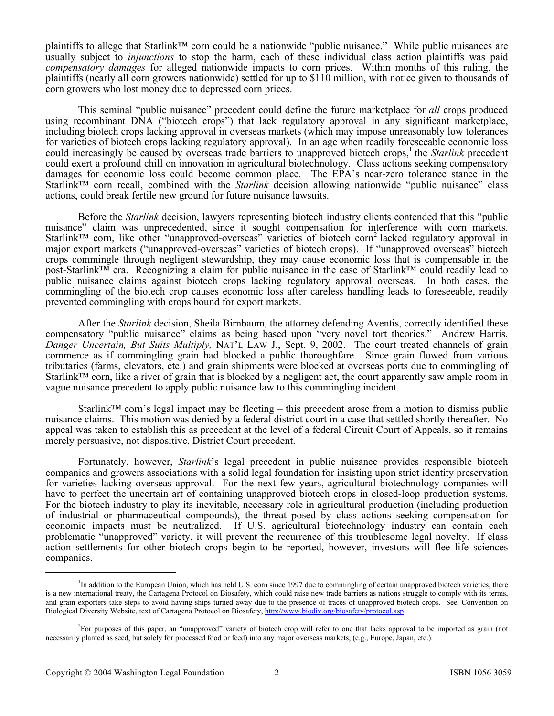plaintiffs to allege that Starlink™ corn could be a nationwide "public nuisance." While public nuisances are usually subject to *injunctions* to stop the harm, each of these individual class action plaintiffs was paid *compensatory damages* for alleged nationwide impacts to corn prices. Within months of this ruling, the plaintiffs (nearly all corn growers nationwide) settled for up to \$110 million, with notice given to thousands of corn growers who lost money due to depressed corn prices.

 This seminal "public nuisance" precedent could define the future marketplace for *all* crops produced using recombinant DNA ("biotech crops") that lack regulatory approval in any significant marketplace, including biotech crops lacking approval in overseas markets (which may impose unreasonably low tolerances for varieties of biotech crops lacking regulatory approval). In an age when readily foreseeable economic loss could increasingly be caused by overseas trade barriers to unapproved biotech crops,<sup>1</sup> the *Starlink* precedent could exert a profound chill on innovation in agricultural biotechnology. Class actions seeking compensatory damages for economic loss could become common place. The EPA's near-zero tolerance stance in the Starlink™ corn recall, combined with the *Starlink* decision allowing nationwide "public nuisance" class actions, could break fertile new ground for future nuisance lawsuits.

Before the *Starlink* decision, lawyers representing biotech industry clients contended that this "public nuisance" claim was unprecedented, since it sought compensation for interference with corn markets. Starlink<sup>™</sup> corn, like other "unapproved-overseas" varieties of biotech corn<sup>2</sup> lacked regulatory approval in major export markets ("unapproved-overseas" varieties of biotech crops). If "unapproved overseas" biotech crops commingle through negligent stewardship, they may cause economic loss that is compensable in the post-Starlink™ era. Recognizing a claim for public nuisance in the case of Starlink™ could readily lead to public nuisance claims against biotech crops lacking regulatory approval overseas. In both cases, the commingling of the biotech crop causes economic loss after careless handling leads to foreseeable, readily prevented commingling with crops bound for export markets.

After the *Starlink* decision, Sheila Birnbaum, the attorney defending Aventis, correctly identified these compensatory "public nuisance" claims as being based upon "very novel tort theories." Andrew Harris, *Danger Uncertain, But Suits Multiply,* NAT'L LAW J., Sept. 9, 2002. The court treated channels of grain commerce as if commingling grain had blocked a public thoroughfare. Since grain flowed from various tributaries (farms, elevators, etc.) and grain shipments were blocked at overseas ports due to commingling of Starlink™ corn, like a river of grain that is blocked by a negligent act, the court apparently saw ample room in vague nuisance precedent to apply public nuisance law to this commingling incident.

Starlink<sup>™</sup> corn's legal impact may be fleeting – this precedent arose from a motion to dismiss public nuisance claims. This motion was denied by a federal district court in a case that settled shortly thereafter. No appeal was taken to establish this as precedent at the level of a federal Circuit Court of Appeals, so it remains merely persuasive, not dispositive, District Court precedent.

Fortunately, however, *Starlink*'s legal precedent in public nuisance provides responsible biotech companies and growers associations with a solid legal foundation for insisting upon strict identity preservation for varieties lacking overseas approval. For the next few years, agricultural biotechnology companies will have to perfect the uncertain art of containing unapproved biotech crops in closed-loop production systems. For the biotech industry to play its inevitable, necessary role in agricultural production (including production of industrial or pharmaceutical compounds), the threat posed by class actions seeking compensation for economic impacts must be neutralized. If U.S. agricultural biotechnology industry can contain each problematic "unapproved" variety, it will prevent the recurrence of this troublesome legal novelty. If class action settlements for other biotech crops begin to be reported, however, investors will flee life sciences companies.

<sup>&</sup>lt;sup>1</sup>In addition to the European Union, which has held U.S. corn since 1997 due to commingling of certain unapproved biotech varieties, there is a new international treaty, the Cartagena Protocol on Biosafety, which could raise new trade barriers as nations struggle to comply with its terms, and grain exporters take steps to avoid having ships turned away due to the presence of traces of unapproved biotech crops. See, Convention on Biological Diversity Website, text of Cartagena Protocol on Biosafety, http://www.biodiv.org/biosafety/protocol.asp.

<sup>2</sup> For purposes of this paper, an "unapproved" variety of biotech crop will refer to one that lacks approval to be imported as grain (not necessarily planted as seed, but solely for processed food or feed) into any major overseas markets, (e.g., Europe, Japan, etc.).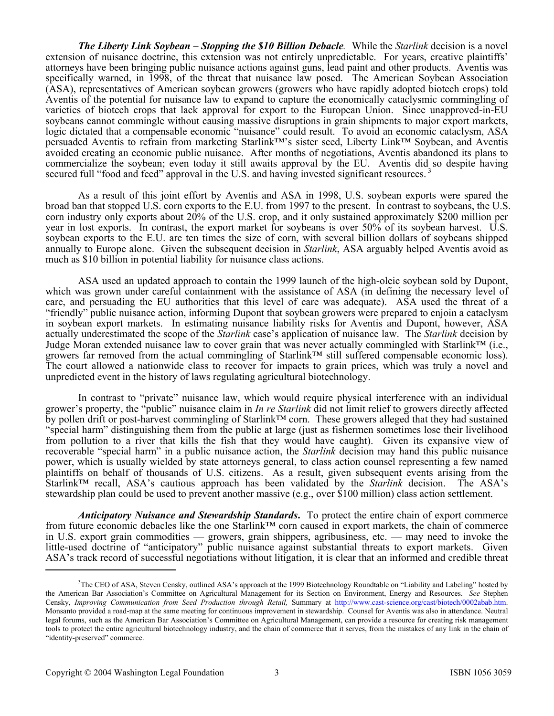*The Liberty Link Soybean – Stopping the \$10 Billion Debacle.*While the *Starlink* decision is a novel extension of nuisance doctrine, this extension was not entirely unpredictable. For years, creative plaintiffs' attorneys have been bringing public nuisance actions against guns, lead paint and other products. Aventis was specifically warned, in 1998, of the threat that nuisance law posed. The American Soybean Association (ASA), representatives of American soybean growers (growers who have rapidly adopted biotech crops) told Aventis of the potential for nuisance law to expand to capture the economically cataclysmic commingling of varieties of biotech crops that lack approval for export to the European Union. Since unapproved-in-EU soybeans cannot commingle without causing massive disruptions in grain shipments to major export markets, logic dictated that a compensable economic "nuisance" could result. To avoid an economic cataclysm, ASA persuaded Aventis to refrain from marketing Starlink™'s sister seed, Liberty Link™ Soybean, and Aventis avoided creating an economic public nuisance. After months of negotiations, Aventis abandoned its plans to commercialize the soybean; even today it still awaits approval by the EU. Aventis did so despite having secured full "food and feed" approval in the U.S. and having invested significant resources.<sup>3</sup>

As a result of this joint effort by Aventis and ASA in 1998, U.S. soybean exports were spared the broad ban that stopped U.S. corn exports to the E.U. from 1997 to the present. In contrast to soybeans, the U.S. corn industry only exports about 20% of the U.S. crop, and it only sustained approximately \$200 million per year in lost exports. In contrast, the export market for soybeans is over 50% of its soybean harvest. U.S. soybean exports to the E.U. are ten times the size of corn, with several billion dollars of soybeans shipped annually to Europe alone. Given the subsequent decision in *Starlink*, ASA arguably helped Aventis avoid as much as \$10 billion in potential liability for nuisance class actions.

ASA used an updated approach to contain the 1999 launch of the high-oleic soybean sold by Dupont, which was grown under careful containment with the assistance of ASA (in defining the necessary level of care, and persuading the EU authorities that this level of care was adequate). ASA used the threat of a "friendly" public nuisance action, informing Dupont that soybean growers were prepared to enjoin a cataclysm in soybean export markets. In estimating nuisance liability risks for Aventis and Dupont, however, ASA actually underestimated the scope of the *Starlink* case's application of nuisance law. The *Starlink* decision by Judge Moran extended nuisance law to cover grain that was never actually commingled with Starlink™ (i.e., growers far removed from the actual commingling of Starlink™ still suffered compensable economic loss). The court allowed a nationwide class to recover for impacts to grain prices, which was truly a novel and unpredicted event in the history of laws regulating agricultural biotechnology.

In contrast to "private" nuisance law, which would require physical interference with an individual grower's property, the "public" nuisance claim in *In re Starlink* did not limit relief to growers directly affected by pollen drift or post-harvest commingling of Starlink™ corn. These growers alleged that they had sustained "special harm" distinguishing them from the public at large (just as fishermen sometimes lose their livelihood from pollution to a river that kills the fish that they would have caught). Given its expansive view of recoverable "special harm" in a public nuisance action, the *Starlink* decision may hand this public nuisance power, which is usually wielded by state attorneys general, to class action counsel representing a few named plaintiffs on behalf of thousands of U.S. citizens. As a result, given subsequent events arising from the Starlink™ recall, ASA's cautious approach has been validated by the *Starlink* decision. The ASA's stewardship plan could be used to prevent another massive (e.g., over \$100 million) class action settlement.

*Anticipatory Nuisance and Stewardship Standards***.** To protect the entire chain of export commerce from future economic debacles like the one Starlink™ corn caused in export markets, the chain of commerce in U.S. export grain commodities — growers, grain shippers, agribusiness, etc. — may need to invoke the little-used doctrine of "anticipatory" public nuisance against substantial threats to export markets. Given ASA's track record of successful negotiations without litigation, it is clear that an informed and credible threat

<sup>&</sup>lt;sup>3</sup>The CEO of ASA, Steven Censky, outlined ASA's approach at the 1999 Biotechnology Roundtable on "Liability and Labeling" hosted by the American Bar Association's Committee on Agricultural Management for its Section on Environment, Energy and Resources. *See* Stephen Censky, *Improving Communication from Seed Production through Retail,* Summary at http://www.cast-science.org/cast/biotech/0002abab.htm. Monsanto provided a road-map at the same meeting for continuous improvement in stewardship. Counsel for Aventis was also in attendance. Neutral legal forums, such as the American Bar Association's Committee on Agricultural Management, can provide a resource for creating risk management tools to protect the entire agricultural biotechnology industry, and the chain of commerce that it serves, from the mistakes of any link in the chain of "identity-preserved" commerce.